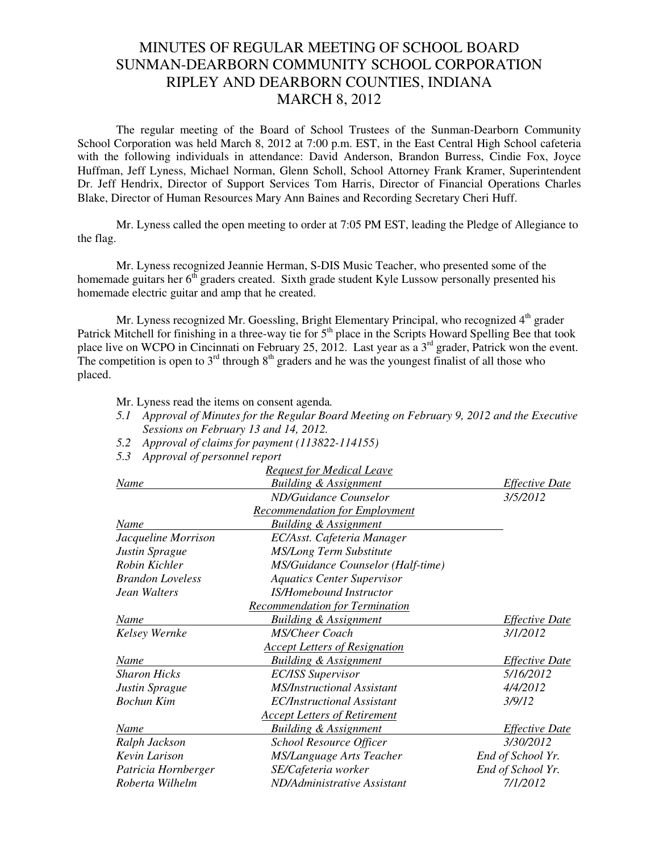## MINUTES OF REGULAR MEETING OF SCHOOL BOARD SUNMAN-DEARBORN COMMUNITY SCHOOL CORPORATION RIPLEY AND DEARBORN COUNTIES, INDIANA MARCH 8, 2012

The regular meeting of the Board of School Trustees of the Sunman-Dearborn Community School Corporation was held March 8, 2012 at 7:00 p.m. EST, in the East Central High School cafeteria with the following individuals in attendance: David Anderson, Brandon Burress, Cindie Fox, Joyce Huffman, Jeff Lyness, Michael Norman, Glenn Scholl, School Attorney Frank Kramer, Superintendent Dr. Jeff Hendrix, Director of Support Services Tom Harris, Director of Financial Operations Charles Blake, Director of Human Resources Mary Ann Baines and Recording Secretary Cheri Huff.

Mr. Lyness called the open meeting to order at 7:05 PM EST, leading the Pledge of Allegiance to the flag.

Mr. Lyness recognized Jeannie Herman, S-DIS Music Teacher, who presented some of the homemade guitars her  $6<sup>th</sup>$  graders created. Sixth grade student Kyle Lussow personally presented his homemade electric guitar and amp that he created.

Mr. Lyness recognized Mr. Goessling, Bright Elementary Principal, who recognized 4<sup>th</sup> grader Patrick Mitchell for finishing in a three-way tie for 5<sup>th</sup> place in the Scripts Howard Spelling Bee that took place live on WCPO in Cincinnati on February 25, 2012. Last year as a 3<sup>rd</sup> grader, Patrick won the event. The competition is open to  $3<sup>rd</sup>$  through  $8<sup>th</sup>$  graders and he was the youngest finalist of all those who placed.

- Mr. Lyness read the items on consent agenda*.*
- *5.1 Approval of Minutes for the Regular Board Meeting on February 9, 2012 and the Executive Sessions on February 13 and 14, 2012.*
- *5.2 Approval of claims for payment (113822-114155)*
- *5.3 Approval of personnel report*

|                         | <b>Request for Medical Leave</b>      |                       |
|-------------------------|---------------------------------------|-----------------------|
| Name                    | <b>Building &amp; Assignment</b>      | <i>Effective Date</i> |
|                         | ND/Guidance Counselor                 | 3/5/2012              |
|                         | <b>Recommendation for Employment</b>  |                       |
| Name                    | <b>Building &amp; Assignment</b>      |                       |
| Jacqueline Morrison     | EC/Asst. Cafeteria Manager            |                       |
| Justin Sprague          | <b>MS/Long Term Substitute</b>        |                       |
| Robin Kichler           | MS/Guidance Counselor (Half-time)     |                       |
| <b>Brandon Loveless</b> | <b>Aquatics Center Supervisor</b>     |                       |
| Jean Walters            | IS/Homebound Instructor               |                       |
|                         | <b>Recommendation for Termination</b> |                       |
| Name                    | <b>Building &amp; Assignment</b>      | <i>Effective Date</i> |
| Kelsey Wernke           | <b>MS/Cheer Coach</b>                 | 3/1/2012              |
|                         | <b>Accept Letters of Resignation</b>  |                       |
| Name                    | <b>Building &amp; Assignment</b>      | <b>Effective Date</b> |
| <b>Sharon Hicks</b>     | <b>EC/ISS Supervisor</b>              | 5/16/2012             |
| Justin Sprague          | <b>MS/Instructional Assistant</b>     | 4/4/2012              |
| <b>Bochun Kim</b>       | EC/Instructional Assistant            | 3/9/12                |
|                         | <b>Accept Letters of Retirement</b>   |                       |
| Name                    | <b>Building &amp; Assignment</b>      | <i>Effective Date</i> |
| Ralph Jackson           | <b>School Resource Officer</b>        | 3/30/2012             |
| Kevin Larison           | MS/Language Arts Teacher              | End of School Yr.     |
| Patricia Hornberger     | SE/Cafeteria worker                   | End of School Yr.     |
| Roberta Wilhelm         | ND/Administrative Assistant           | 7/1/2012              |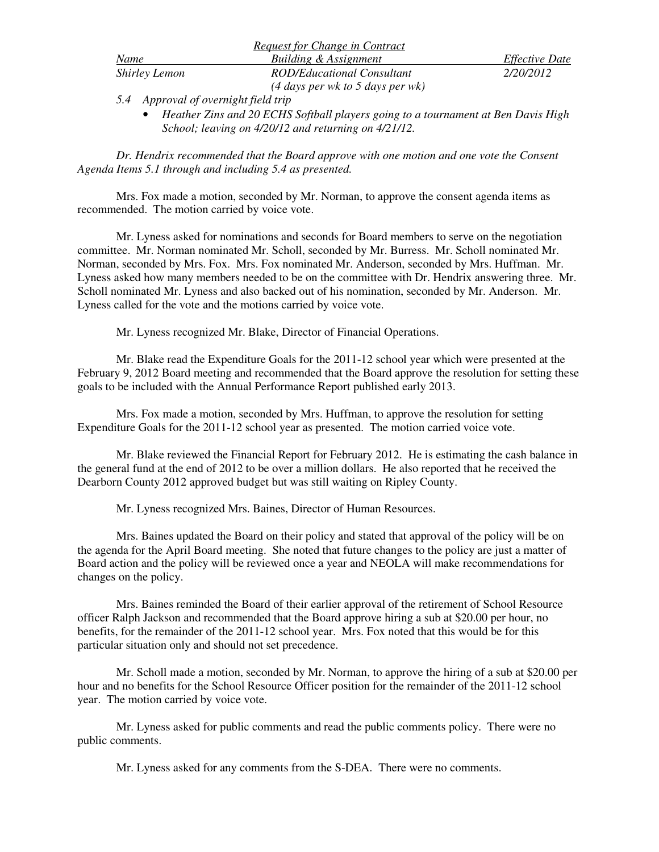|                      | <i>Request for Change in Contract</i>      |                       |
|----------------------|--------------------------------------------|-----------------------|
| Name                 | Building & Assignment                      | <i>Effective Date</i> |
| <b>Shirley Lemon</b> | ROD/Educational Consultant                 | 2/20/2012             |
|                      | $(4 \text{ days per wk to 5 days per wk})$ |                       |

*5.4 Approval of overnight field trip* 

• *Heather Zins and 20 ECHS Softball players going to a tournament at Ben Davis High School; leaving on 4/20/12 and returning on 4/21/12.* 

*Dr. Hendrix recommended that the Board approve with one motion and one vote the Consent Agenda Items 5.1 through and including 5.4 as presented.* 

Mrs. Fox made a motion, seconded by Mr. Norman, to approve the consent agenda items as recommended. The motion carried by voice vote.

Mr. Lyness asked for nominations and seconds for Board members to serve on the negotiation committee. Mr. Norman nominated Mr. Scholl, seconded by Mr. Burress. Mr. Scholl nominated Mr. Norman, seconded by Mrs. Fox. Mrs. Fox nominated Mr. Anderson, seconded by Mrs. Huffman. Mr. Lyness asked how many members needed to be on the committee with Dr. Hendrix answering three. Mr. Scholl nominated Mr. Lyness and also backed out of his nomination, seconded by Mr. Anderson. Mr. Lyness called for the vote and the motions carried by voice vote.

Mr. Lyness recognized Mr. Blake, Director of Financial Operations.

Mr. Blake read the Expenditure Goals for the 2011-12 school year which were presented at the February 9, 2012 Board meeting and recommended that the Board approve the resolution for setting these goals to be included with the Annual Performance Report published early 2013.

 Mrs. Fox made a motion, seconded by Mrs. Huffman, to approve the resolution for setting Expenditure Goals for the 2011-12 school year as presented. The motion carried voice vote.

 Mr. Blake reviewed the Financial Report for February 2012. He is estimating the cash balance in the general fund at the end of 2012 to be over a million dollars. He also reported that he received the Dearborn County 2012 approved budget but was still waiting on Ripley County.

Mr. Lyness recognized Mrs. Baines, Director of Human Resources.

 Mrs. Baines updated the Board on their policy and stated that approval of the policy will be on the agenda for the April Board meeting. She noted that future changes to the policy are just a matter of Board action and the policy will be reviewed once a year and NEOLA will make recommendations for changes on the policy.

 Mrs. Baines reminded the Board of their earlier approval of the retirement of School Resource officer Ralph Jackson and recommended that the Board approve hiring a sub at \$20.00 per hour, no benefits, for the remainder of the 2011-12 school year. Mrs. Fox noted that this would be for this particular situation only and should not set precedence.

Mr. Scholl made a motion, seconded by Mr. Norman, to approve the hiring of a sub at \$20.00 per hour and no benefits for the School Resource Officer position for the remainder of the 2011-12 school year. The motion carried by voice vote.

Mr. Lyness asked for public comments and read the public comments policy. There were no public comments.

Mr. Lyness asked for any comments from the S-DEA. There were no comments.